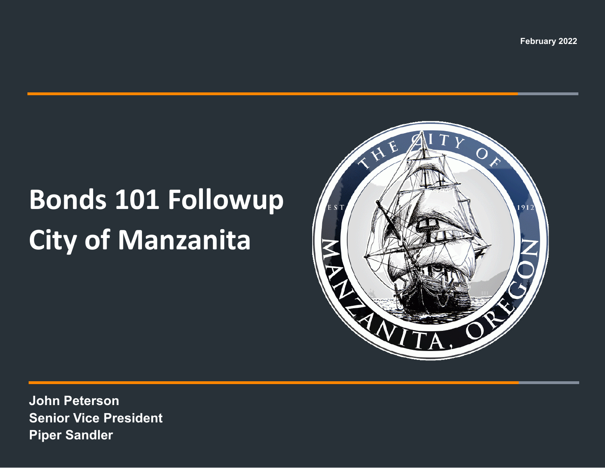**February 2022**

# **Bonds 101 Followup City of Manzanita**



**John Peterson Senior Vice President Piper Sandler**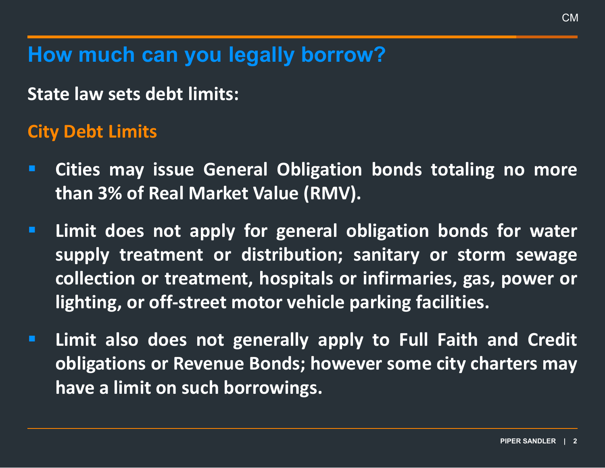**How much can you legally borrow?**

**State law sets debt limits:**

#### **City Debt Limits**

- **Cities may issue General Obligation bonds totaling no more than 3% of Real Market Value (RMV).**
- **Limit does not apply for general obligation bonds for water supply treatment or distribution; sanitary or storm sewage collection or treatment, hospitals or infirmaries, gas, power or lighting, or off-street motor vehicle parking facilities.**
- **Limit also does not generally apply to Full Faith and Credit obligations or Revenue Bonds; however some city charters may have a limit on such borrowings.**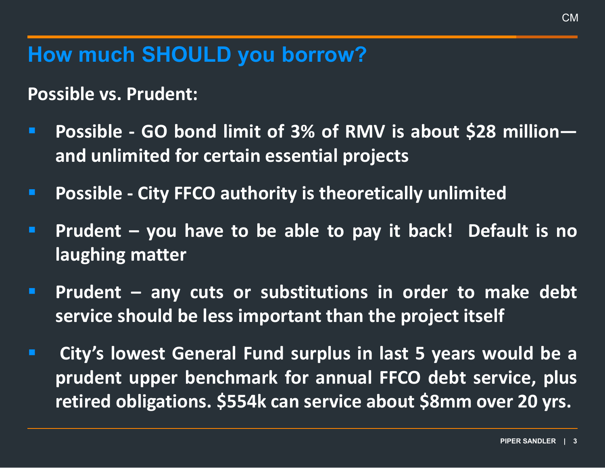#### **How much SHOULD you borrow?**

**Possible vs. Prudent:**

- **Possible - GO bond limit of 3% of RMV is about \$28 million and unlimited for certain essential projects**
- **Possible - City FFCO authority is theoretically unlimited**
- **Prudent – you have to be able to pay it back! Default is no laughing matter**
- **Prudent – any cuts or substitutions in order to make debt service should be less important than the project itself**
- **City's lowest General Fund surplus in last 5 years would be a prudent upper benchmark for annual FFCO debt service, plus retired obligations. \$554k can service about \$8mm over 20 yrs.**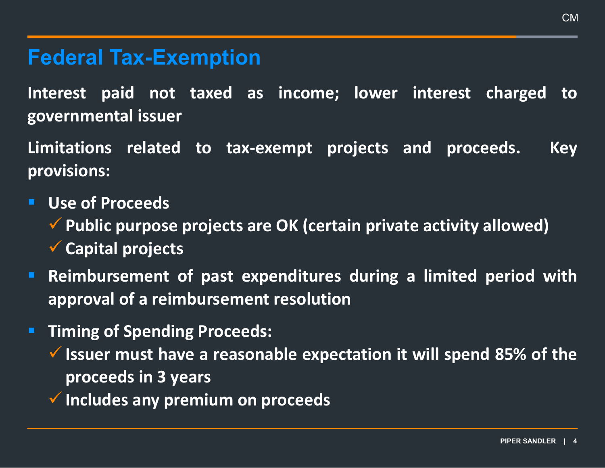#### **Federal Tax-Exemption**

**Interest paid not taxed as income; lower interest charged to governmental issuer**

**Limitations related to tax-exempt projects and proceeds. Key provisions:**

- **Use of Proceeds**
	- **Public purpose projects are OK (certain private activity allowed) Capital projects**
- **Reimbursement of past expenditures during a limited period with approval of a reimbursement resolution**
- **Timing of Spending Proceeds:**
	- **Issuer must have a reasonable expectation it will spend 85% of the proceeds in 3 years**
	- **Includes any premium on proceeds**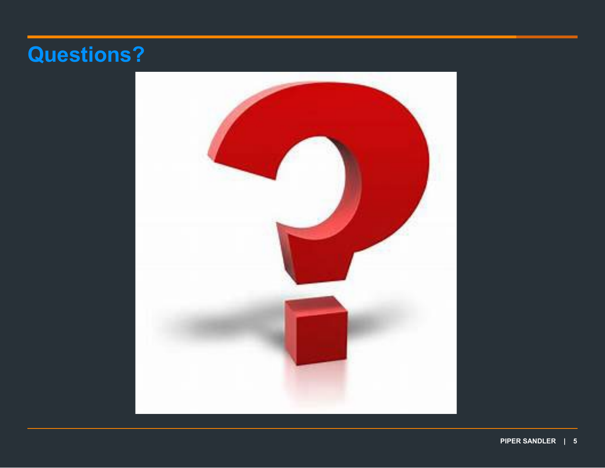### **Questions?**

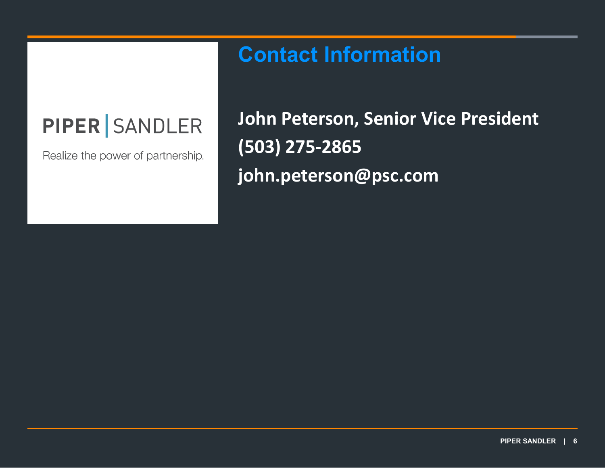## **PIPER SANDLER**

Realize the power of partnership.

### **John Peterson, Senior Vice President (503) 275-2865 john.peterson@psc.com**

**Contact Information**